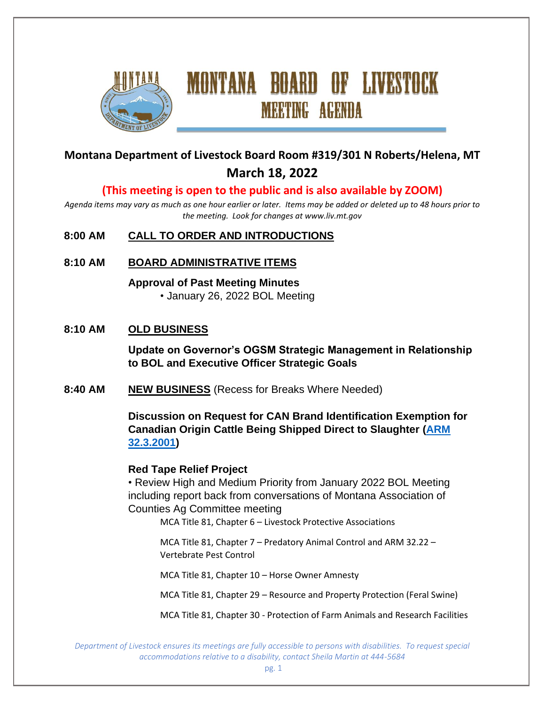

# **Montana Department of Livestock Board Room #319/301 N Roberts/Helena, MT March 18, 2022**

**MEETING AGENDA** 

#### **(This meeting is open to the public and is also available by ZOOM)**

*Agenda items may vary as much as one hour earlier or later. Items may be added or deleted up to 48 hours prior to the meeting. Look for changes at www.liv.mt.gov*

#### **8:00 AM CALL TO ORDER AND INTRODUCTIONS**

**8:10 AM BOARD ADMINISTRATIVE ITEMS**

**Approval of Past Meeting Minutes** • January 26, 2022 BOL Meeting

#### **8:10 AM OLD BUSINESS**

**Update on Governor's OGSM Strategic Management in Relationship to BOL and Executive Officer Strategic Goals**

**8:40 AM NEW BUSINESS** (Recess for Breaks Where Needed)

**Discussion on Request for CAN Brand Identification Exemption for Canadian Origin Cattle Being Shipped Direct to Slaughter [\(ARM](https://rules.mt.gov/gateway/RuleNo.asp?RN=32%2E3%2E2001)  [32.3.2001\)](https://rules.mt.gov/gateway/RuleNo.asp?RN=32%2E3%2E2001)**

#### **Red Tape Relief Project**

• Review High and Medium Priority from January 2022 BOL Meeting including report back from conversations of Montana Association of Counties Ag Committee meeting

MCA Title 81, Chapter 6 – Livestock Protective Associations

MCA Title 81, Chapter 7 – Predatory Animal Control and ARM 32.22 – Vertebrate Pest Control

MCA Title 81, Chapter 10 – Horse Owner Amnesty

MCA Title 81, Chapter 29 – Resource and Property Protection (Feral Swine)

MCA Title 81, Chapter 30 - Protection of Farm Animals and Research Facilities

*Department of Livestock ensures its meetings are fully accessible to persons with disabilities. To request special accommodations relative to a disability, contact Sheila Martin at 444-5684*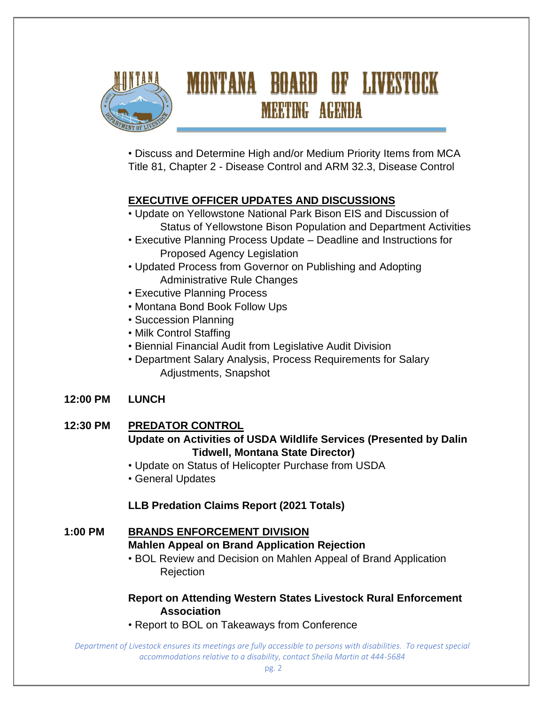

# MONTANA BOARD OF LIVESTOCK **MEETING AGENDA**

• Discuss and Determine High and/or Medium Priority Items from MCA Title 81, Chapter 2 - Disease Control and ARM 32.3, Disease Control

# **EXECUTIVE OFFICER UPDATES AND DISCUSSIONS**

- Update on Yellowstone National Park Bison EIS and Discussion of Status of Yellowstone Bison Population and Department Activities
- Executive Planning Process Update Deadline and Instructions for Proposed Agency Legislation
- Updated Process from Governor on Publishing and Adopting Administrative Rule Changes
- Executive Planning Process
- Montana Bond Book Follow Ups
- Succession Planning
- Milk Control Staffing
- Biennial Financial Audit from Legislative Audit Division
- Department Salary Analysis, Process Requirements for Salary Adjustments, Snapshot

# **12:00 PM LUNCH**

## **12:30 PM PREDATOR CONTROL Update on Activities of USDA Wildlife Services (Presented by Dalin Tidwell, Montana State Director)**

- Update on Status of Helicopter Purchase from USDA
- General Updates

# **LLB Predation Claims Report (2021 Totals)**

# **1:00 PM BRANDS ENFORCEMENT DIVISION**

### **Mahlen Appeal on Brand Application Rejection**

• BOL Review and Decision on Mahlen Appeal of Brand Application **Rejection** 

## **Report on Attending Western States Livestock Rural Enforcement Association**

• Report to BOL on Takeaways from Conference

*Department of Livestock ensures its meetings are fully accessible to persons with disabilities. To request special accommodations relative to a disability, contact Sheila Martin at 444-5684*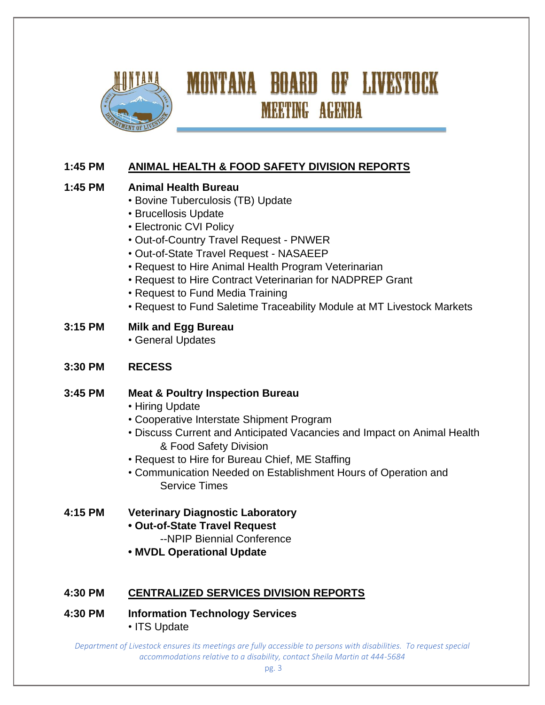

# **1:45 PM ANIMAL HEALTH & FOOD SAFETY DIVISION REPORTS**

### **1:45 PM Animal Health Bureau**

- Bovine Tuberculosis (TB) Update
- Brucellosis Update
- Electronic CVI Policy
- Out-of-Country Travel Request PNWER
- Out-of-State Travel Request NASAEEP
- Request to Hire Animal Health Program Veterinarian
- Request to Hire Contract Veterinarian for NADPREP Grant
- Request to Fund Media Training
- Request to Fund Saletime Traceability Module at MT Livestock Markets
- **3:15 PM Milk and Egg Bureau** 
	- General Updates

### **3:30 PM RECESS**

### **3:45 PM Meat & Poultry Inspection Bureau**

- Hiring Update
- Cooperative Interstate Shipment Program
- Discuss Current and Anticipated Vacancies and Impact on Animal Health & Food Safety Division
- Request to Hire for Bureau Chief, ME Staffing
- Communication Needed on Establishment Hours of Operation and Service Times

### **4:15 PM Veterinary Diagnostic Laboratory**

- **Out-of-State Travel Request**
	- --NPIP Biennial Conference
- **MVDL Operational Update**

### **4:30 PM CENTRALIZED SERVICES DIVISION REPORTS**

**4:30 PM Information Technology Services** • ITS Update

*Department of Livestock ensures its meetings are fully accessible to persons with disabilities. To request special accommodations relative to a disability, contact Sheila Martin at 444-5684*